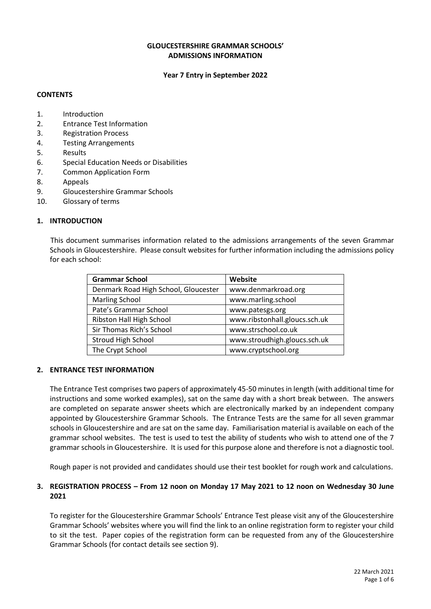### **GLOUCESTERSHIRE GRAMMAR SCHOOLS' ADMISSIONS INFORMATION**

#### **Year 7 Entry in September 2022**

### **CONTENTS**

- 1. Introduction
- 2. Entrance Test Information
- 3. Registration Process
- 4. Testing Arrangements
- 5. Results
- 6. Special Education Needs or Disabilities
- 7. Common Application Form
- 8. Appeals
- 9. Gloucestershire Grammar Schools
- 10. Glossary of terms

#### **1. INTRODUCTION**

This document summarises information related to the admissions arrangements of the seven Grammar Schools in Gloucestershire. Please consult websites for further information including the admissions policy for each school:

| <b>Grammar School</b>                | Website                       |
|--------------------------------------|-------------------------------|
| Denmark Road High School, Gloucester | www.denmarkroad.org           |
| <b>Marling School</b>                | www.marling.school            |
| Pate's Grammar School                | www.patesgs.org               |
| Ribston Hall High School             | www.ribstonhall.gloucs.sch.uk |
| Sir Thomas Rich's School             | www.strschool.co.uk           |
| <b>Stroud High School</b>            | www.stroudhigh.gloucs.sch.uk  |
| The Crypt School                     | www.cryptschool.org           |

#### **2. ENTRANCE TEST INFORMATION**

The Entrance Test comprises two papers of approximately 45-50 minutes in length (with additional time for instructions and some worked examples), sat on the same day with a short break between. The answers are completed on separate answer sheets which are electronically marked by an independent company appointed by Gloucestershire Grammar Schools. The Entrance Tests are the same for all seven grammar schools in Gloucestershire and are sat on the same day. Familiarisation material is available on each of the grammar school websites. The test is used to test the ability of students who wish to attend one of the 7 grammar schools in Gloucestershire. It is used for this purpose alone and therefore is not a diagnostic tool.

Rough paper is not provided and candidates should use their test booklet for rough work and calculations.

### **3. REGISTRATION PROCESS – From 12 noon on Monday 17 May 2021 to 12 noon on Wednesday 30 June 2021**

To register for the Gloucestershire Grammar Schools' Entrance Test please visit any of the Gloucestershire Grammar Schools' websites where you will find the link to an online registration form to register your child to sit the test. Paper copies of the registration form can be requested from any of the Gloucestershire Grammar Schools (for contact details see section 9).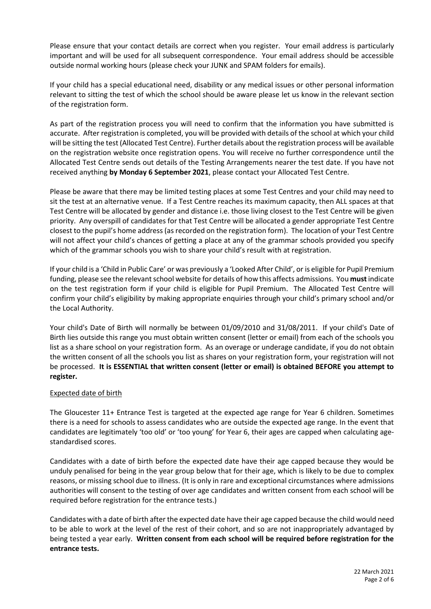Please ensure that your contact details are correct when you register. Your email address is particularly important and will be used for all subsequent correspondence. Your email address should be accessible outside normal working hours (please check your JUNK and SPAM folders for emails).

If your child has a special educational need, disability or any medical issues or other personal information relevant to sitting the test of which the school should be aware please let us know in the relevant section of the registration form.

As part of the registration process you will need to confirm that the information you have submitted is accurate. After registration is completed, you will be provided with details of the school at which your child will be sitting the test (Allocated Test Centre). Further details about the registration process will be available on the registration website once registration opens. You will receive no further correspondence until the Allocated Test Centre sends out details of the Testing Arrangements nearer the test date. If you have not received anything **by Monday 6 September 2021**, please contact your Allocated Test Centre.

Please be aware that there may be limited testing places at some Test Centres and your child may need to sit the test at an alternative venue. If a Test Centre reaches its maximum capacity, then ALL spaces at that Test Centre will be allocated by gender and distance i.e. those living closest to the Test Centre will be given priority. Any overspill of candidates for that Test Centre will be allocated a gender appropriate Test Centre closest to the pupil's home address (as recorded on the registration form). The location of your Test Centre will not affect your child's chances of getting a place at any of the grammar schools provided you specify which of the grammar schools you wish to share your child's result with at registration.

If your child is a 'Child in Public Care' or was previously a 'Looked After Child', or is eligible for Pupil Premium funding, please see the relevant school website for details of how this affects admissions. You **must** indicate on the test registration form if your child is eligible for Pupil Premium. The Allocated Test Centre will confirm your child's eligibility by making appropriate enquiries through your child's primary school and/or the Local Authority.

Your child's Date of Birth will normally be between 01/09/2010 and 31/08/2011. If your child's Date of Birth lies outside this range you must obtain written consent (letter or email) from each of the schools you list as a share school on your registration form. As an overage or underage candidate, if you do not obtain the written consent of all the schools you list as shares on your registration form, your registration will not be processed. **It is ESSENTIAL that written consent (letter or email) is obtained BEFORE you attempt to register.**

# Expected date of birth

The Gloucester 11+ Entrance Test is targeted at the expected age range for Year 6 children. Sometimes there is a need for schools to assess candidates who are outside the expected age range. In the event that candidates are legitimately 'too old' or 'too young' for Year 6, their ages are capped when calculating agestandardised scores.

Candidates with a date of birth before the expected date have their age capped because they would be unduly penalised for being in the year group below that for their age, which is likely to be due to complex reasons, or missing school due to illness. (It is only in rare and exceptional circumstances where admissions authorities will consent to the testing of over age candidates and written consent from each school will be required before registration for the entrance tests.)

Candidates with a date of birth after the expected date have their age capped because the child would need to be able to work at the level of the rest of their cohort, and so are not inappropriately advantaged by being tested a year early. **Written consent from each school will be required before registration for the entrance tests.**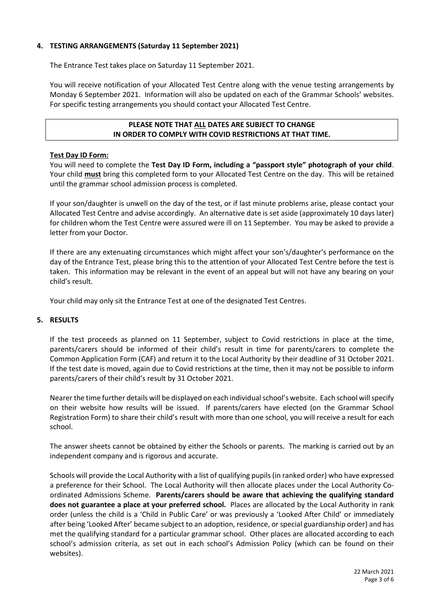# **4. TESTING ARRANGEMENTS (Saturday 11 September 2021)**

The Entrance Test takes place on Saturday 11 September 2021.

You will receive notification of your Allocated Test Centre along with the venue testing arrangements by Monday 6 September 2021. Information will also be updated on each of the Grammar Schools' websites. For specific testing arrangements you should contact your Allocated Test Centre.

# **PLEASE NOTE THAT ALL DATES ARE SUBJECT TO CHANGE IN ORDER TO COMPLY WITH COVID RESTRICTIONS AT THAT TIME.**

#### **Test Day ID Form:**

You will need to complete the **Test Day ID Form, including a "passport style" photograph of your child**. Your child **must** bring this completed form to your Allocated Test Centre on the day. This will be retained until the grammar school admission process is completed.

If your son/daughter is unwell on the day of the test, or if last minute problems arise, please contact your Allocated Test Centre and advise accordingly. An alternative date is set aside (approximately 10 days later) for children whom the Test Centre were assured were ill on 11 September. You may be asked to provide a letter from your Doctor.

If there are any extenuating circumstances which might affect your son's/daughter's performance on the day of the Entrance Test, please bring this to the attention of your Allocated Test Centre before the test is taken. This information may be relevant in the event of an appeal but will not have any bearing on your child's result.

Your child may only sit the Entrance Test at one of the designated Test Centres.

#### **5. RESULTS**

If the test proceeds as planned on 11 September, subject to Covid restrictions in place at the time, parents/carers should be informed of their child's result in time for parents/carers to complete the Common Application Form (CAF) and return it to the Local Authority by their deadline of 31 October 2021. If the test date is moved, again due to Covid restrictions at the time, then it may not be possible to inform parents/carers of their child's result by 31 October 2021.

Nearer the time further details will be displayed on each individual school's website. Each school will specify on their website how results will be issued. If parents/carers have elected (on the Grammar School Registration Form) to share their child's result with more than one school, you will receive a result for each school.

The answer sheets cannot be obtained by either the Schools or parents. The marking is carried out by an independent company and is rigorous and accurate.

Schools will provide the Local Authority with a list of qualifying pupils (in ranked order) who have expressed a preference for their School. The Local Authority will then allocate places under the Local Authority Coordinated Admissions Scheme. **Parents/carers should be aware that achieving the qualifying standard does not guarantee a place at your preferred school.** Places are allocated by the Local Authority in rank order (unless the child is a 'Child in Public Care' or was previously a 'Looked After Child' or immediately after being 'Looked After' became subject to an adoption, residence, or special guardianship order) and has met the qualifying standard for a particular grammar school. Other places are allocated according to each school's admission criteria, as set out in each school's Admission Policy (which can be found on their websites).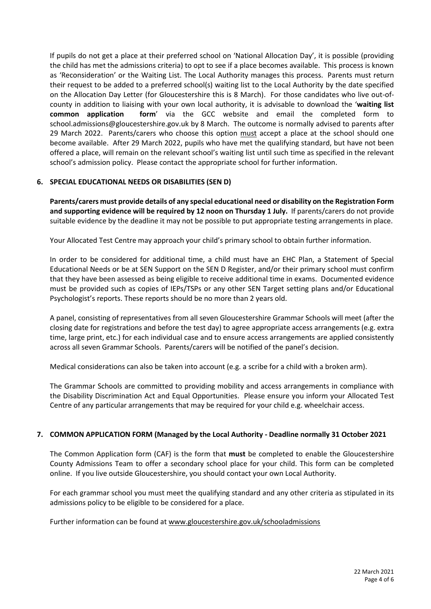If pupils do not get a place at their preferred school on 'National Allocation Day', it is possible (providing the child has met the admissions criteria) to opt to see if a place becomes available. This process is known as 'Reconsideration' or the Waiting List. The Local Authority manages this process. Parents must return their request to be added to a preferred school(s) waiting list to the Local Authority by the date specified on the Allocation Day Letter (for Gloucestershire this is 8 March). For those candidates who live out-ofcounty in addition to liaising with your own local authority, it is advisable to download the '**[waiting list](https://www.gloucestershire.gov.uk/education-and-learning/school-admissions/apply-for-a-secondary-school/)  [common application form](https://www.gloucestershire.gov.uk/education-and-learning/school-admissions/apply-for-a-secondary-school/)**' via the GCC website and email the completed form to [school.admissions@gloucestershire.gov.uk](mailto:school.admissions@gloucestershire.gov.uk) by 8 March. The outcome is normally advised to parents after 29 March 2022. Parents/carers who choose this option must accept a place at the school should one become available. After 29 March 2022, pupils who have met the qualifying standard, but have not been offered a place, will remain on the relevant school's waiting list until such time as specified in the relevant school's admission policy. Please contact the appropriate school for further information.

# **6. SPECIAL EDUCATIONAL NEEDS OR DISABILITIES (SEN D)**

**Parents/carers must provide details of any special educational need or disability on the Registration Form and supporting evidence will be required by 12 noon on Thursday 1 July.** If parents/carers do not provide suitable evidence by the deadline it may not be possible to put appropriate testing arrangements in place.

Your Allocated Test Centre may approach your child's primary school to obtain further information.

In order to be considered for additional time, a child must have an EHC Plan, a Statement of Special Educational Needs or be at SEN Support on the SEN D Register, and/or their primary school must confirm that they have been assessed as being eligible to receive additional time in exams. Documented evidence must be provided such as copies of IEPs/TSPs or any other SEN Target setting plans and/or Educational Psychologist's reports. These reports should be no more than 2 years old.

A panel, consisting of representatives from all seven Gloucestershire Grammar Schools will meet (after the closing date for registrations and before the test day) to agree appropriate access arrangements (e.g. extra time, large print, etc.) for each individual case and to ensure access arrangements are applied consistently across all seven Grammar Schools. Parents/carers will be notified of the panel's decision.

Medical considerations can also be taken into account (e.g. a scribe for a child with a broken arm).

The Grammar Schools are committed to providing mobility and access arrangements in compliance with the Disability Discrimination Act and Equal Opportunities. Please ensure you inform your Allocated Test Centre of any particular arrangements that may be required for your child e.g. wheelchair access.

# **7. COMMON APPLICATION FORM (Managed by the Local Authority - Deadline normally 31 October 2021**

The Common Application form (CAF) is the form that **must** be completed to enable the Gloucestershire County Admissions Team to offer a secondary school place for your child. This form can be completed online. If you live outside Gloucestershire, you should contact your own Local Authority.

For each grammar school you must meet the qualifying standard and any other criteria as stipulated in its admissions policy to be eligible to be considered for a place.

Further information can be found at [www.gloucestershire.gov.uk/schooladmissions](http://www.gloucestershire.gov.uk/schooladmissions)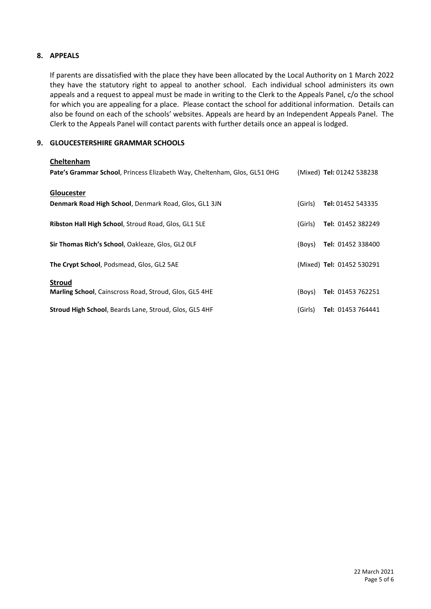## **8. APPEALS**

If parents are dissatisfied with the place they have been allocated by the Local Authority on 1 March 2022 they have the statutory right to appeal to another school. Each individual school administers its own appeals and a request to appeal must be made in writing to the Clerk to the Appeals Panel, c/o the school for which you are appealing for a place. Please contact the school for additional information. Details can also be found on each of the schools' websites. Appeals are heard by an Independent Appeals Panel. The Clerk to the Appeals Panel will contact parents with further details once an appeal is lodged.

### **9. GLOUCESTERSHIRE GRAMMAR SCHOOLS**

| Cheltenham                                                                |         |                           |
|---------------------------------------------------------------------------|---------|---------------------------|
| Pate's Grammar School, Princess Elizabeth Way, Cheltenham, Glos, GL51 0HG |         | (Mixed) Tel: 01242 538238 |
| <b>Gloucester</b>                                                         |         |                           |
| Denmark Road High School, Denmark Road, Glos, GL1 3JN                     | (Girls) | Tel: 01452 543335         |
| Ribston Hall High School, Stroud Road, Glos, GL1 5LE                      | (Girls) | Tel: 01452 382249         |
| Sir Thomas Rich's School, Oakleaze, Glos, GL2 OLF                         | (Boys)  | Tel: 01452 338400         |
| The Crypt School, Podsmead, Glos, GL2 5AE                                 |         | (Mixed) Tel: 01452 530291 |
| <b>Stroud</b>                                                             |         |                           |
| <b>Marling School, Cainscross Road, Stroud, Glos, GL5 4HE</b>             | (Boys)  | Tel: 01453 762251         |
| <b>Stroud High School, Beards Lane, Stroud, Glos, GL5 4HF</b>             | (Girls) | Tel: 01453 764441         |